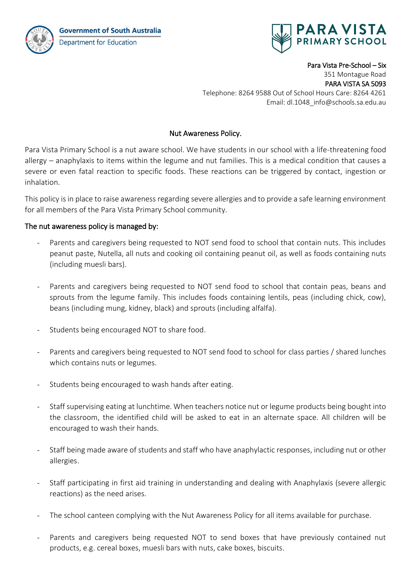**Government of South Australia** Department for Education



Para Vista Pre-School – Six 351 Montague Road PARA VISTA SA 5093 Telephone: 8264 9588 Out of School Hours Care: 8264 4261 Email: dl.1048\_info@schools.sa.edu.au

## Nut Awareness Policy.

Para Vista Primary School is a nut aware school. We have students in our school with a life-threatening food allergy – anaphylaxis to items within the legume and nut families. This is a medical condition that causes a severe or even fatal reaction to specific foods. These reactions can be triggered by contact, ingestion or inhalation.

This policy is in place to raise awareness regarding severe allergies and to provide a safe learning environment for all members of the Para Vista Primary School community.

## The nut awareness policy is managed by:

- Parents and caregivers being requested to NOT send food to school that contain nuts. This includes peanut paste, Nutella, all nuts and cooking oil containing peanut oil, as well as foods containing nuts (including muesli bars).
- Parents and caregivers being requested to NOT send food to school that contain peas, beans and sprouts from the legume family. This includes foods containing lentils, peas (including chick, cow), beans (including mung, kidney, black) and sprouts (including alfalfa).
- Students being encouraged NOT to share food.
- Parents and caregivers being requested to NOT send food to school for class parties / shared lunches which contains nuts or legumes.
- Students being encouraged to wash hands after eating.
- Staff supervising eating at lunchtime. When teachers notice nut or legume products being bought into the classroom, the identified child will be asked to eat in an alternate space. All children will be encouraged to wash their hands.
- Staff being made aware of students and staff who have anaphylactic responses, including nut or other allergies.
- Staff participating in first aid training in understanding and dealing with Anaphylaxis (severe allergic reactions) as the need arises.
- The school canteen complying with the Nut Awareness Policy for all items available for purchase.
- Parents and caregivers being requested NOT to send boxes that have previously contained nut products, e.g. cereal boxes, muesli bars with nuts, cake boxes, biscuits.